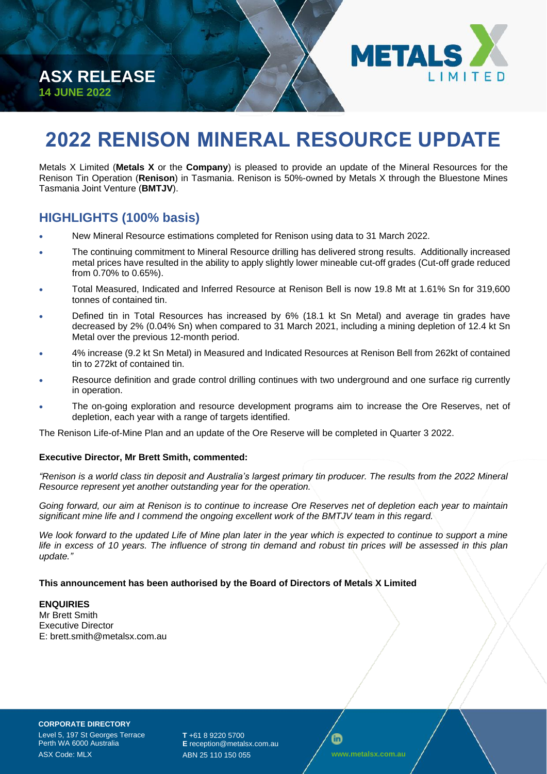



# **2022 RENISON MINERAL RESOURCE UPDATE**

Metals X Limited (**Metals X** or the **Company**) is pleased to provide an update of the Mineral Resources for the Renison Tin Operation (**Renison**) in Tasmania. Renison is 50%-owned by Metals X through the Bluestone Mines Tasmania Joint Venture (**BMTJV**).

# **HIGHLIGHTS (100% basis)**

- New Mineral Resource estimations completed for Renison using data to 31 March 2022.
- The continuing commitment to Mineral Resource drilling has delivered strong results. Additionally increased metal prices have resulted in the ability to apply slightly lower mineable cut-off grades (Cut-off grade reduced from 0.70% to 0.65%).
- Total Measured, Indicated and Inferred Resource at Renison Bell is now 19.8 Mt at 1.61% Sn for 319,600 tonnes of contained tin.
- Defined tin in Total Resources has increased by 6% (18.1 kt Sn Metal) and average tin grades have decreased by 2% (0.04% Sn) when compared to 31 March 2021, including a mining depletion of 12.4 kt Sn Metal over the previous 12-month period.
- 4% increase (9.2 kt Sn Metal) in Measured and Indicated Resources at Renison Bell from 262kt of contained tin to 272kt of contained tin.
- Resource definition and grade control drilling continues with two underground and one surface rig currently in operation.
- The on-going exploration and resource development programs aim to increase the Ore Reserves, net of depletion, each year with a range of targets identified.

The Renison Life-of-Mine Plan and an update of the Ore Reserve will be completed in Quarter 3 2022.

#### **Executive Director, Mr Brett Smith, commented:**

*"Renison is a world class tin deposit and Australia's largest primary tin producer. The results from the 2022 Mineral Resource represent yet another outstanding year for the operation.* 

*Going forward, our aim at Renison is to continue to increase Ore Reserves net of depletion each year to maintain significant mine life and I commend the ongoing excellent work of the BMTJV team in this regard.*

We look forward to the updated Life of Mine plan later in the year which is expected to continue to support a mine *life in excess of 10 years. The influence of strong tin demand and robust tin prices will be assessed in this plan update."*

#### **This announcement has been authorised by the Board of Directors of Metals X Limited**

#### **ENQUIRIES** Mr Brett Smith Executive Director E: brett.smit[h@metalsx.com.au](mailto:damien.marantelli@metalsx.com.au)

**CORPORATE DIRECTORY** Level 5, 197 St Georges Terrace Perth WA 6000 Australia ASX Code: MLX

**T** +61 8 9220 5700 **E** reception@metalsx.com.au ABN 25 110 150 055 **www.metalsx.com.au**

₲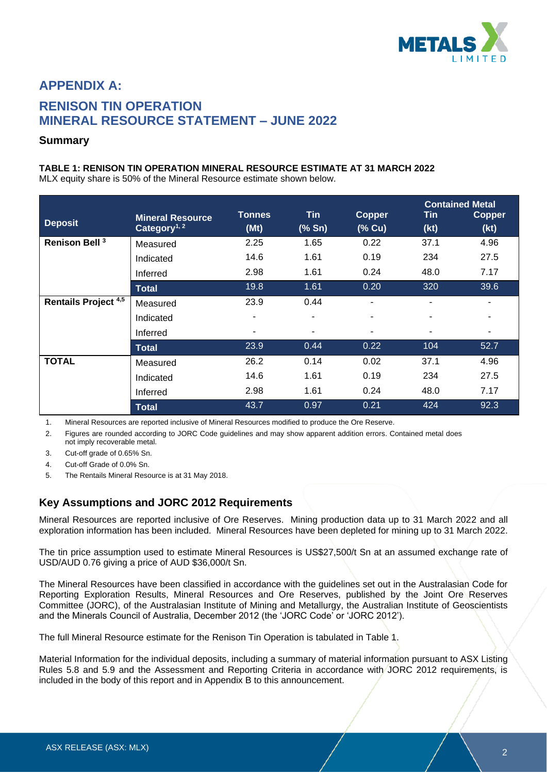

# **APPENDIX A: RENISON TIN OPERATION MINERAL RESOURCE STATEMENT – JUNE 2022**

### **Summary**

#### **TABLE 1: RENISON TIN OPERATION MINERAL RESOURCE ESTIMATE AT 31 MARCH 2022**

MLX equity share is 50% of the Mineral Resource estimate shown below.

| <b>Deposit</b>              | <b>Mineral Resource</b><br>Category <sup>1, 2</sup> | <b>Tonnes</b><br>(Mt) | <b>Tin</b><br>(% Sn)     | <b>Copper</b><br>$(%$ Cu) | Tin<br>(kt) | <b>Contained Metal</b><br><b>Copper</b><br>(kt) |
|-----------------------------|-----------------------------------------------------|-----------------------|--------------------------|---------------------------|-------------|-------------------------------------------------|
| Renison Bell <sup>3</sup>   | Measured                                            | 2.25                  | 1.65                     | 0.22                      | 37.1        | 4.96                                            |
|                             | Indicated                                           | 14.6                  | 1.61                     | 0.19                      | 234         | 27.5                                            |
|                             | Inferred                                            | 2.98                  | 1.61                     | 0.24                      | 48.0        | 7.17                                            |
|                             | <b>Total</b>                                        | 19.8                  | 1.61                     | 0.20                      | 320         | 39.6                                            |
| <b>Rentails Project 4,5</b> | Measured                                            | 23.9                  | 0.44                     |                           | ۰           |                                                 |
|                             | Indicated                                           | ۰                     | $\overline{\phantom{a}}$ |                           |             |                                                 |
|                             | Inferred                                            | ٠                     | $\overline{\phantom{a}}$ |                           |             |                                                 |
|                             | <b>Total</b>                                        | 23.9                  | 0.44                     | 0.22                      | 104         | 52.7                                            |
| <b>TOTAL</b>                | Measured                                            | 26.2                  | 0.14                     | 0.02                      | 37.1        | 4.96                                            |
|                             | Indicated                                           | 14.6                  | 1.61                     | 0.19                      | 234         | 27.5                                            |
|                             | Inferred                                            | 2.98                  | 1.61                     | 0.24                      | 48.0        | 7.17                                            |
|                             | <b>Total</b>                                        | 43.7                  | 0.97                     | 0.21                      | 424         | 92.3                                            |

1. Mineral Resources are reported inclusive of Mineral Resources modified to produce the Ore Reserve.

2. Figures are rounded according to JORC Code guidelines and may show apparent addition errors. Contained metal does not imply recoverable metal.

- 3. Cut-off grade of 0.65% Sn.
- 4. Cut-off Grade of 0.0% Sn.
- 5. The Rentails Mineral Resource is at 31 May 2018.

# **Key Assumptions and JORC 2012 Requirements**

Mineral Resources are reported inclusive of Ore Reserves. Mining production data up to 31 March 2022 and all exploration information has been included. Mineral Resources have been depleted for mining up to 31 March 2022.

The tin price assumption used to estimate Mineral Resources is US\$27,500/t Sn at an assumed exchange rate of USD/AUD 0.76 giving a price of AUD \$36,000/t Sn.

The Mineral Resources have been classified in accordance with the guidelines set out in the Australasian Code for Reporting Exploration Results, Mineral Resources and Ore Reserves, published by the Joint Ore Reserves Committee (JORC), of the Australasian Institute of Mining and Metallurgy, the Australian Institute of Geoscientists and the Minerals Council of Australia, December 2012 (the 'JORC Code' or 'JORC 2012').

The full Mineral Resource estimate for the Renison Tin Operation is tabulated in Table 1.

Material Information for the individual deposits, including a summary of material information pursuant to ASX Listing Rules 5.8 and 5.9 and the Assessment and Reporting Criteria in accordance with JORC 2012 requirements, is included in the body of this report and in Appendix B to this announcement.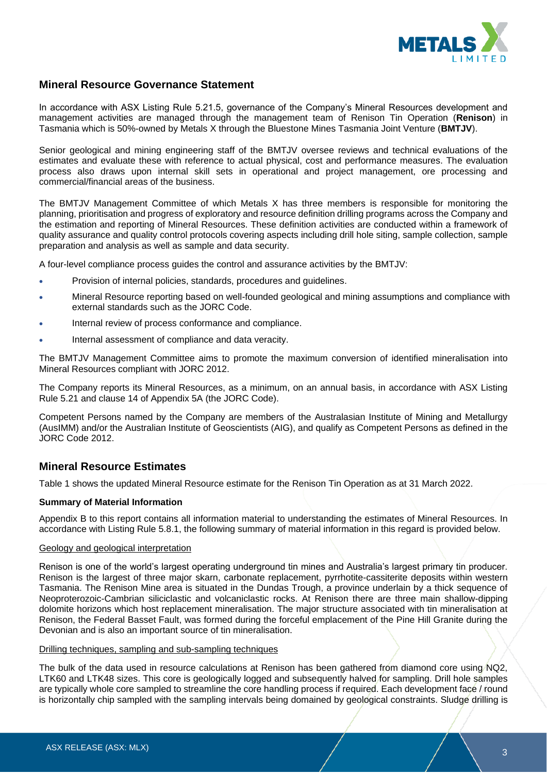

### **Mineral Resource Governance Statement**

In accordance with ASX Listing Rule 5.21.5, governance of the Company's Mineral Resources development and management activities are managed through the management team of Renison Tin Operation (**Renison**) in Tasmania which is 50%-owned by Metals X through the Bluestone Mines Tasmania Joint Venture (**BMTJV**).

Senior geological and mining engineering staff of the BMTJV oversee reviews and technical evaluations of the estimates and evaluate these with reference to actual physical, cost and performance measures. The evaluation process also draws upon internal skill sets in operational and project management, ore processing and commercial/financial areas of the business.

The BMTJV Management Committee of which Metals X has three members is responsible for monitoring the planning, prioritisation and progress of exploratory and resource definition drilling programs across the Company and the estimation and reporting of Mineral Resources. These definition activities are conducted within a framework of quality assurance and quality control protocols covering aspects including drill hole siting, sample collection, sample preparation and analysis as well as sample and data security.

A four-level compliance process guides the control and assurance activities by the BMTJV:

- Provision of internal policies, standards, procedures and guidelines.
- Mineral Resource reporting based on well-founded geological and mining assumptions and compliance with external standards such as the JORC Code.
- Internal review of process conformance and compliance.
- Internal assessment of compliance and data veracity.

The BMTJV Management Committee aims to promote the maximum conversion of identified mineralisation into Mineral Resources compliant with JORC 2012.

The Company reports its Mineral Resources, as a minimum, on an annual basis, in accordance with ASX Listing Rule 5.21 and clause 14 of Appendix 5A (the JORC Code).

Competent Persons named by the Company are members of the Australasian Institute of Mining and Metallurgy (AusIMM) and/or the Australian Institute of Geoscientists (AIG), and qualify as Competent Persons as defined in the JORC Code 2012.

# **Mineral Resource Estimates**

Table 1 shows the updated Mineral Resource estimate for the Renison Tin Operation as at 31 March 2022.

#### **Summary of Material Information**

Appendix B to this report contains all information material to understanding the estimates of Mineral Resources. In accordance with Listing Rule 5.8.1, the following summary of material information in this regard is provided below.

#### Geology and geological interpretation

Renison is one of the world's largest operating underground tin mines and Australia's largest primary tin producer. Renison is the largest of three major skarn, carbonate replacement, pyrrhotite-cassiterite deposits within western Tasmania. The Renison Mine area is situated in the Dundas Trough, a province underlain by a thick sequence of Neoproterozoic-Cambrian siliciclastic and volcaniclastic rocks. At Renison there are three main shallow-dipping dolomite horizons which host replacement mineralisation. The major structure associated with tin mineralisation at Renison, the Federal Basset Fault, was formed during the forceful emplacement of the Pine Hill Granite during the Devonian and is also an important source of tin mineralisation.

#### Drilling techniques, sampling and sub-sampling techniques

The bulk of the data used in resource calculations at Renison has been gathered from diamond core using NQ2, LTK60 and LTK48 sizes. This core is geologically logged and subsequently halved for sampling. Drill hole samples are typically whole core sampled to streamline the core handling process if required. Each development face / round is horizontally chip sampled with the sampling intervals being domained by geological constraints. Sludge drilling is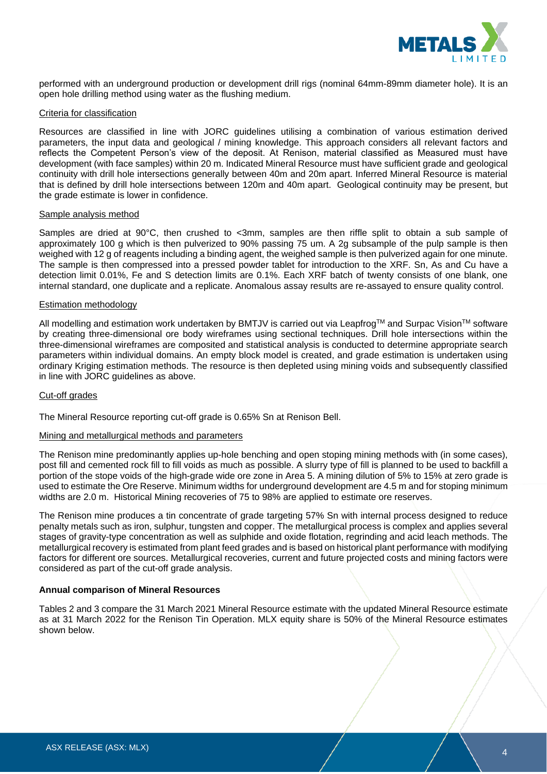

performed with an underground production or development drill rigs (nominal 64mm-89mm diameter hole). It is an open hole drilling method using water as the flushing medium.

#### Criteria for classification

Resources are classified in line with JORC guidelines utilising a combination of various estimation derived parameters, the input data and geological / mining knowledge. This approach considers all relevant factors and reflects the Competent Person's view of the deposit. At Renison, material classified as Measured must have development (with face samples) within 20 m. Indicated Mineral Resource must have sufficient grade and geological continuity with drill hole intersections generally between 40m and 20m apart. Inferred Mineral Resource is material that is defined by drill hole intersections between 120m and 40m apart. Geological continuity may be present, but the grade estimate is lower in confidence.

#### Sample analysis method

Samples are dried at 90°C, then crushed to <3mm, samples are then riffle split to obtain a sub sample of approximately 100 g which is then pulverized to 90% passing 75 um. A 2g subsample of the pulp sample is then weighed with 12 g of reagents including a binding agent, the weighed sample is then pulverized again for one minute. The sample is then compressed into a pressed powder tablet for introduction to the XRF. Sn, As and Cu have a detection limit 0.01%, Fe and S detection limits are 0.1%. Each XRF batch of twenty consists of one blank, one internal standard, one duplicate and a replicate. Anomalous assay results are re-assayed to ensure quality control.

#### Estimation methodology

All modelling and estimation work undertaken by BMTJV is carried out via Leapfrog™ and Surpac Vision™ software by creating three-dimensional ore body wireframes using sectional techniques. Drill hole intersections within the three-dimensional wireframes are composited and statistical analysis is conducted to determine appropriate search parameters within individual domains. An empty block model is created, and grade estimation is undertaken using ordinary Kriging estimation methods. The resource is then depleted using mining voids and subsequently classified in line with JORC guidelines as above.

#### Cut-off grades

The Mineral Resource reporting cut-off grade is 0.65% Sn at Renison Bell.

#### Mining and metallurgical methods and parameters

The Renison mine predominantly applies up-hole benching and open stoping mining methods with (in some cases), post fill and cemented rock fill to fill voids as much as possible. A slurry type of fill is planned to be used to backfill a portion of the stope voids of the high-grade wide ore zone in Area 5. A mining dilution of 5% to 15% at zero grade is used to estimate the Ore Reserve. Minimum widths for underground development are 4.5 m and for stoping minimum widths are 2.0 m. Historical Mining recoveries of 75 to 98% are applied to estimate ore reserves.

The Renison mine produces a tin concentrate of grade targeting 57% Sn with internal process designed to reduce penalty metals such as iron, sulphur, tungsten and copper. The metallurgical process is complex and applies several stages of gravity-type concentration as well as sulphide and oxide flotation, regrinding and acid leach methods. The metallurgical recovery is estimated from plant feed grades and is based on historical plant performance with modifying factors for different ore sources. Metallurgical recoveries, current and future projected costs and mining factors were considered as part of the cut-off grade analysis.

#### **Annual comparison of Mineral Resources**

Tables 2 and 3 compare the 31 March 2021 Mineral Resource estimate with the updated Mineral Resource estimate as at 31 March 2022 for the Renison Tin Operation. MLX equity share is 50% of the Mineral Resource estimates shown below.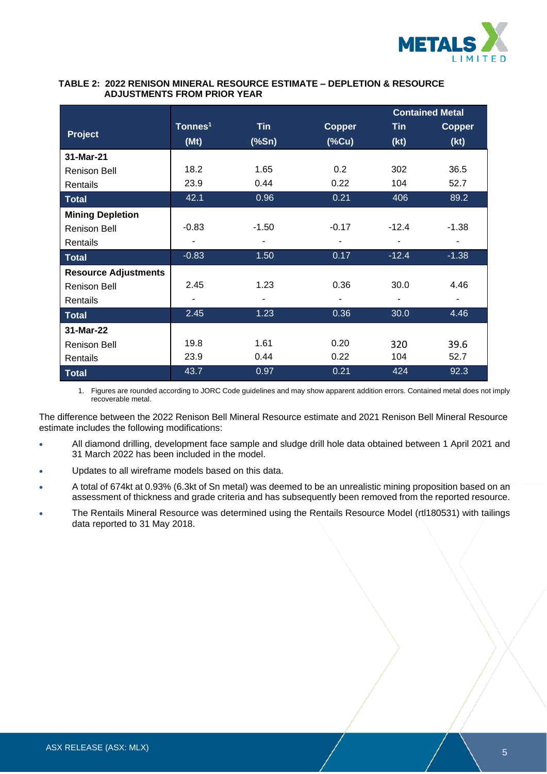

#### **TABLE 2: 2022 RENISON MINERAL RESOURCE ESTIMATE – DEPLETION & RESOURCE ADJUSTMENTS FROM PRIOR YEAR**

|                             |                     |                         |               |            | <b>Contained Metal</b> |
|-----------------------------|---------------------|-------------------------|---------------|------------|------------------------|
| Project                     | Tonnes <sup>1</sup> | <b>Tin</b>              | <b>Copper</b> | <b>Tin</b> | <b>Copper</b>          |
|                             | (Mt)                | $(% )^{2}(S_{0},S_{1})$ | (%            | (kt)       | (kt)                   |
| 31-Mar-21                   |                     |                         |               |            |                        |
| <b>Renison Bell</b>         | 18.2                | 1.65                    | 0.2           | 302        | 36.5                   |
| Rentails                    | 23.9                | 0.44                    | 0.22          | 104        | 52.7                   |
| <b>Total</b>                | 42.1                | 0.96                    | 0.21          | 406        | 89.2                   |
| <b>Mining Depletion</b>     |                     |                         |               |            |                        |
| <b>Renison Bell</b>         | $-0.83$             | $-1.50$                 | $-0.17$       | $-12.4$    | $-1.38$                |
| Rentails                    |                     |                         |               |            |                        |
| <b>Total</b>                | $-0.83$             | 1.50                    | 0.17          | $-12.4$    | $-1.38$                |
| <b>Resource Adjustments</b> |                     |                         |               |            |                        |
| <b>Renison Bell</b>         | 2.45                | 1.23                    | 0.36          | 30.0       | 4.46                   |
| Rentails                    |                     |                         |               |            |                        |
| <b>Total</b>                | 2.45                | 1.23                    | 0.36          | 30.0       | 4.46                   |
| 31-Mar-22                   |                     |                         |               |            |                        |
| <b>Renison Bell</b>         | 19.8                | 1.61                    | 0.20          | 320        | 39.6                   |
| Rentails                    | 23.9                | 0.44                    | 0.22          | 104        | 52.7                   |
| <b>Total</b>                | 43.7                | 0.97                    | 0.21          | 424        | 92.3                   |

1. Figures are rounded according to JORC Code guidelines and may show apparent addition errors. Contained metal does not imply recoverable metal.

The difference between the 2022 Renison Bell Mineral Resource estimate and 2021 Renison Bell Mineral Resource estimate includes the following modifications:

- All diamond drilling, development face sample and sludge drill hole data obtained between 1 April 2021 and 31 March 2022 has been included in the model.
- Updates to all wireframe models based on this data.
- A total of 674kt at 0.93% (6.3kt of Sn metal) was deemed to be an unrealistic mining proposition based on an assessment of thickness and grade criteria and has subsequently been removed from the reported resource.
- The Rentails Mineral Resource was determined using the Rentails Resource Model (rtl180531) with tailings data reported to 31 May 2018.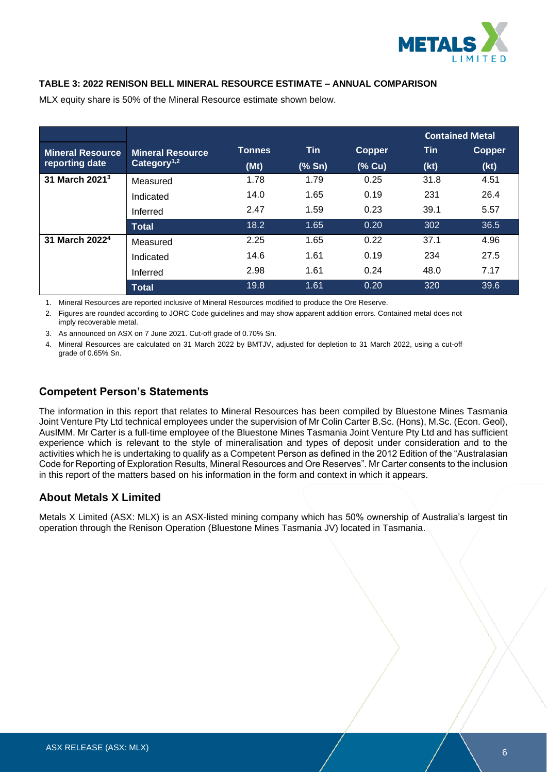

### **TABLE 3: 2022 RENISON BELL MINERAL RESOURCE ESTIMATE – ANNUAL COMPARISON**

|                            |                         |               |        |               |      | <b>Contained Metal</b> |
|----------------------------|-------------------------|---------------|--------|---------------|------|------------------------|
| <b>Mineral Resource</b>    | <b>Mineral Resource</b> | <b>Tonnes</b> | Tin    | <b>Copper</b> | Tin  | <b>Copper</b>          |
| reporting date             | Category <sup>1,2</sup> | (Mt)          | (% Sn) | (% Cu)        | (kt) | (kt)                   |
| 31 March 2021 <sup>3</sup> | Measured                | 1.78          | 1.79   | 0.25          | 31.8 | 4.51                   |
|                            | Indicated               | 14.0          | 1.65   | 0.19          | 231  | 26.4                   |
|                            | Inferred                | 2.47          | 1.59   | 0.23          | 39.1 | 5.57                   |
|                            | <b>Total</b>            | 18.2          | 1.65   | 0.20          | 302  | 36.5                   |
| 31 March 2022 <sup>4</sup> | Measured                | 2.25          | 1.65   | 0.22          | 37.1 | 4.96                   |
|                            | Indicated               | 14.6          | 1.61   | 0.19          | 234  | 27.5                   |
|                            | Inferred                | 2.98          | 1.61   | 0.24          | 48.0 | 7.17                   |
|                            | <b>Total</b>            | 19.8          | 1.61   | 0.20          | 320  | 39.6                   |

MLX equity share is 50% of the Mineral Resource estimate shown below.

1. Mineral Resources are reported inclusive of Mineral Resources modified to produce the Ore Reserve.

2. Figures are rounded according to JORC Code guidelines and may show apparent addition errors. Contained metal does not imply recoverable metal.

3. As announced on ASX on 7 June 2021. Cut-off grade of 0.70% Sn.

4. Mineral Resources are calculated on 31 March 2022 by BMTJV, adjusted for depletion to 31 March 2022, using a cut-off grade of 0.65% Sn.

# **Competent Person's Statements**

The information in this report that relates to Mineral Resources has been compiled by Bluestone Mines Tasmania Joint Venture Pty Ltd technical employees under the supervision of Mr Colin Carter B.Sc. (Hons), M.Sc. (Econ. Geol), AusIMM. Mr Carter is a full-time employee of the Bluestone Mines Tasmania Joint Venture Pty Ltd and has sufficient experience which is relevant to the style of mineralisation and types of deposit under consideration and to the activities which he is undertaking to qualify as a Competent Person as defined in the 2012 Edition of the "Australasian Code for Reporting of Exploration Results, Mineral Resources and Ore Reserves". Mr Carter consents to the inclusion in this report of the matters based on his information in the form and context in which it appears.

# **About Metals X Limited**

Metals X Limited (ASX: MLX) is an ASX-listed mining company which has 50% ownership of Australia's largest tin operation through the Renison Operation (Bluestone Mines Tasmania JV) located in Tasmania.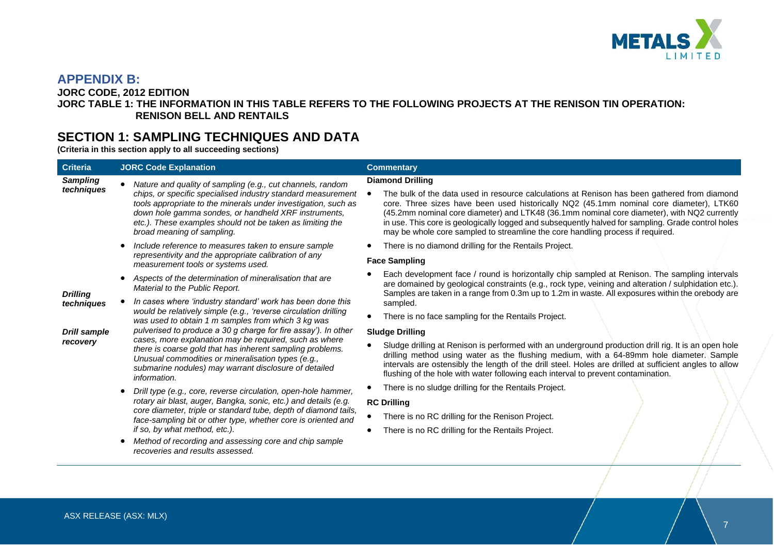

# **APPENDIX B:**

**JORC CODE, 2012 EDITION**

### **JORC TABLE 1: THE INFORMATION IN THIS TABLE REFERS TO THE FOLLOWING PROJECTS AT THE RENISON TIN OPERATION: RENISON BELL AND RENTAILS**

# **SECTION 1: SAMPLING TECHNIQUES AND DATA**

**(Criteria in this section apply to all succeeding sections)**

| <b>Criteria</b>                | <b>JORC Code Explanation</b>                                                                                                                                                                                                                                                                                                                                                                                                                  | <b>Commentary</b>                                                                                                                                                                                                                                                                                                                                                                                                                                                                                         |
|--------------------------------|-----------------------------------------------------------------------------------------------------------------------------------------------------------------------------------------------------------------------------------------------------------------------------------------------------------------------------------------------------------------------------------------------------------------------------------------------|-----------------------------------------------------------------------------------------------------------------------------------------------------------------------------------------------------------------------------------------------------------------------------------------------------------------------------------------------------------------------------------------------------------------------------------------------------------------------------------------------------------|
| <b>Sampling</b><br>techniques  | Nature and quality of sampling (e.g., cut channels, random<br>chips, or specific specialised industry standard measurement<br>tools appropriate to the minerals under investigation, such as<br>down hole gamma sondes, or handheld XRF instruments,<br>etc.). These examples should not be taken as limiting the<br>broad meaning of sampling.                                                                                               | <b>Diamond Drilling</b><br>The bulk of the data used in resource calculations at Renison has been gathered from diamond<br>core. Three sizes have been used historically NQ2 (45.1mm nominal core diameter), LTK60<br>(45.2mm nominal core diameter) and LTK48 (36.1mm nominal core diameter), with NQ2 currently<br>in use. This core is geologically logged and subsequently halved for sampling. Grade control holes<br>may be whole core sampled to streamline the core handling process if required. |
|                                | Include reference to measures taken to ensure sample<br>representivity and the appropriate calibration of any                                                                                                                                                                                                                                                                                                                                 | There is no diamond drilling for the Rentails Project.                                                                                                                                                                                                                                                                                                                                                                                                                                                    |
|                                | measurement tools or systems used.                                                                                                                                                                                                                                                                                                                                                                                                            | <b>Face Sampling</b>                                                                                                                                                                                                                                                                                                                                                                                                                                                                                      |
| Material to the Public Report. | Aspects of the determination of mineralisation that are                                                                                                                                                                                                                                                                                                                                                                                       | Each development face / round is horizontally chip sampled at Renison. The sampling intervals<br>are domained by geological constraints (e.g., rock type, veining and alteration / sulphidation etc.).<br>Samples are taken in a range from 0.3m up to 1.2m in waste. All exposures within the orebody are                                                                                                                                                                                                |
| <b>Drilling</b><br>techniques  | In cases where 'industry standard' work has been done this                                                                                                                                                                                                                                                                                                                                                                                    | sampled.                                                                                                                                                                                                                                                                                                                                                                                                                                                                                                  |
|                                | would be relatively simple (e.g., 'reverse circulation drilling<br>was used to obtain 1 m samples from which 3 kg was<br>pulverised to produce a 30 g charge for fire assay'). In other<br>cases, more explanation may be required, such as where<br>there is coarse gold that has inherent sampling problems.<br>Unusual commodities or mineralisation types (e.g.,<br>submarine nodules) may warrant disclosure of detailed<br>information. | There is no face sampling for the Rentails Project.                                                                                                                                                                                                                                                                                                                                                                                                                                                       |
| <b>Drill sample</b>            |                                                                                                                                                                                                                                                                                                                                                                                                                                               | <b>Sludge Drilling</b>                                                                                                                                                                                                                                                                                                                                                                                                                                                                                    |
| recovery                       |                                                                                                                                                                                                                                                                                                                                                                                                                                               | Sludge drilling at Renison is performed with an underground production drill rig. It is an open hole<br>drilling method using water as the flushing medium, with a 64-89mm hole diameter. Sample<br>intervals are ostensibly the length of the drill steel. Holes are drilled at sufficient angles to allow<br>flushing of the hole with water following each interval to prevent contamination.                                                                                                          |
|                                | Drill type (e.g., core, reverse circulation, open-hole hammer,                                                                                                                                                                                                                                                                                                                                                                                | There is no sludge drilling for the Rentails Project.                                                                                                                                                                                                                                                                                                                                                                                                                                                     |
|                                | rotary air blast, auger, Bangka, sonic, etc.) and details (e.g.<br>core diameter, triple or standard tube, depth of diamond tails,<br>face-sampling bit or other type, whether core is oriented and                                                                                                                                                                                                                                           | <b>RC Drilling</b>                                                                                                                                                                                                                                                                                                                                                                                                                                                                                        |
|                                |                                                                                                                                                                                                                                                                                                                                                                                                                                               | There is no RC drilling for the Renison Project.                                                                                                                                                                                                                                                                                                                                                                                                                                                          |
|                                | if so, by what method, etc.).                                                                                                                                                                                                                                                                                                                                                                                                                 | There is no RC drilling for the Rentails Project.                                                                                                                                                                                                                                                                                                                                                                                                                                                         |
|                                | Method of recording and assessing core and chip sample<br>recoveries and results assessed.                                                                                                                                                                                                                                                                                                                                                    |                                                                                                                                                                                                                                                                                                                                                                                                                                                                                                           |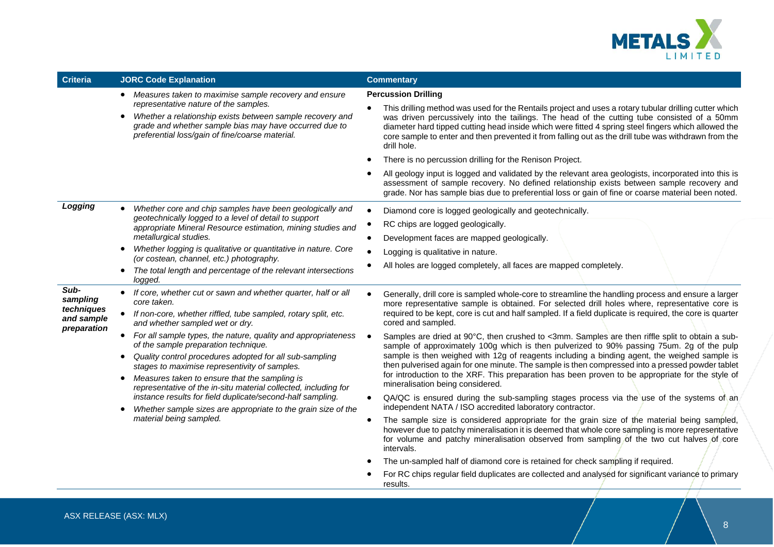

| <b>Criteria</b>                                                                                                                                                                                                                                                                                                                                                                                                                                                                                                                                                                                                                                                                                                                                                                                                                                                                   | <b>JORC Code Explanation</b>                                                                                                                                                                                    | <b>Commentary</b>                                                                                                                                                                                                                                                                                                                                                                                                                   |
|-----------------------------------------------------------------------------------------------------------------------------------------------------------------------------------------------------------------------------------------------------------------------------------------------------------------------------------------------------------------------------------------------------------------------------------------------------------------------------------------------------------------------------------------------------------------------------------------------------------------------------------------------------------------------------------------------------------------------------------------------------------------------------------------------------------------------------------------------------------------------------------|-----------------------------------------------------------------------------------------------------------------------------------------------------------------------------------------------------------------|-------------------------------------------------------------------------------------------------------------------------------------------------------------------------------------------------------------------------------------------------------------------------------------------------------------------------------------------------------------------------------------------------------------------------------------|
|                                                                                                                                                                                                                                                                                                                                                                                                                                                                                                                                                                                                                                                                                                                                                                                                                                                                                   | • Measures taken to maximise sample recovery and ensure                                                                                                                                                         | <b>Percussion Drilling</b>                                                                                                                                                                                                                                                                                                                                                                                                          |
|                                                                                                                                                                                                                                                                                                                                                                                                                                                                                                                                                                                                                                                                                                                                                                                                                                                                                   | representative nature of the samples.<br>Whether a relationship exists between sample recovery and<br>grade and whether sample bias may have occurred due to<br>preferential loss/gain of fine/coarse material. | This drilling method was used for the Rentails project and uses a rotary tubular drilling cutter which<br>was driven percussively into the tailings. The head of the cutting tube consisted of a 50mm<br>diameter hard tipped cutting head inside which were fitted 4 spring steel fingers which allowed the<br>core sample to enter and then prevented it from falling out as the drill tube was withdrawn from the<br>drill hole. |
|                                                                                                                                                                                                                                                                                                                                                                                                                                                                                                                                                                                                                                                                                                                                                                                                                                                                                   |                                                                                                                                                                                                                 | There is no percussion drilling for the Renison Project.                                                                                                                                                                                                                                                                                                                                                                            |
|                                                                                                                                                                                                                                                                                                                                                                                                                                                                                                                                                                                                                                                                                                                                                                                                                                                                                   |                                                                                                                                                                                                                 | All geology input is logged and validated by the relevant area geologists, incorporated into this is<br>assessment of sample recovery. No defined relationship exists between sample recovery and<br>grade. Nor has sample bias due to preferential loss or gain of fine or coarse material been noted.                                                                                                                             |
| Logging                                                                                                                                                                                                                                                                                                                                                                                                                                                                                                                                                                                                                                                                                                                                                                                                                                                                           | Whether core and chip samples have been geologically and                                                                                                                                                        | Diamond core is logged geologically and geotechnically.                                                                                                                                                                                                                                                                                                                                                                             |
|                                                                                                                                                                                                                                                                                                                                                                                                                                                                                                                                                                                                                                                                                                                                                                                                                                                                                   | geotechnically logged to a level of detail to support<br>appropriate Mineral Resource estimation, mining studies and                                                                                            | RC chips are logged geologically.                                                                                                                                                                                                                                                                                                                                                                                                   |
|                                                                                                                                                                                                                                                                                                                                                                                                                                                                                                                                                                                                                                                                                                                                                                                                                                                                                   | metallurgical studies.                                                                                                                                                                                          | Development faces are mapped geologically.                                                                                                                                                                                                                                                                                                                                                                                          |
|                                                                                                                                                                                                                                                                                                                                                                                                                                                                                                                                                                                                                                                                                                                                                                                                                                                                                   | Whether logging is qualitative or quantitative in nature. Core                                                                                                                                                  | Logging is qualitative in nature.                                                                                                                                                                                                                                                                                                                                                                                                   |
|                                                                                                                                                                                                                                                                                                                                                                                                                                                                                                                                                                                                                                                                                                                                                                                                                                                                                   | (or costean, channel, etc.) photography.<br>The total length and percentage of the relevant intersections<br>$\bullet$<br>logged.                                                                               | All holes are logged completely, all faces are mapped completely.                                                                                                                                                                                                                                                                                                                                                                   |
| Sub-<br>If core, whether cut or sawn and whether quarter, half or all<br>$\bullet$<br>sampling<br>core taken.<br>techniques<br>If non-core, whether riffled, tube sampled, rotary split, etc.<br>and sample<br>cored and sampled.<br>and whether sampled wet or dry.<br>preparation<br>• For all sample types, the nature, quality and appropriateness<br>of the sample preparation technique.<br>Quality control procedures adopted for all sub-sampling<br>$\bullet$<br>stages to maximise representivity of samples.<br>Measures taken to ensure that the sampling is<br>$\bullet$<br>mineralisation being considered.<br>representative of the in-situ material collected, including for<br>instance results for field duplicate/second-half sampling.<br>Whether sample sizes are appropriate to the grain size of the<br>$\bullet$<br>material being sampled.<br>intervals. |                                                                                                                                                                                                                 | Generally, drill core is sampled whole-core to streamline the handling process and ensure a larger<br>more representative sample is obtained. For selected drill holes where, representative core is<br>required to be kept, core is cut and half sampled. If a field duplicate is required, the core is quarter                                                                                                                    |
|                                                                                                                                                                                                                                                                                                                                                                                                                                                                                                                                                                                                                                                                                                                                                                                                                                                                                   |                                                                                                                                                                                                                 | Samples are dried at 90°C, then crushed to <3mm. Samples are then riffle split to obtain a sub-<br>sample of approximately 100g which is then pulverized to 90% passing 75um. 2g of the pulp<br>sample is then weighed with 12g of reagents including a binding agent, the weighed sample is<br>then pulverised again for one minute. The sample is then compressed into a pressed powder tablet                                    |
|                                                                                                                                                                                                                                                                                                                                                                                                                                                                                                                                                                                                                                                                                                                                                                                                                                                                                   | for introduction to the XRF. This preparation has been proven to be appropriate for the style of                                                                                                                |                                                                                                                                                                                                                                                                                                                                                                                                                                     |
|                                                                                                                                                                                                                                                                                                                                                                                                                                                                                                                                                                                                                                                                                                                                                                                                                                                                                   |                                                                                                                                                                                                                 | QA/QC is ensured during the sub-sampling stages process via the use of the systems of an<br>independent NATA / ISO accredited laboratory contractor.                                                                                                                                                                                                                                                                                |
|                                                                                                                                                                                                                                                                                                                                                                                                                                                                                                                                                                                                                                                                                                                                                                                                                                                                                   |                                                                                                                                                                                                                 | The sample size is considered appropriate for the grain size of the material being sampled,<br>however due to patchy mineralisation it is deemed that whole core sampling is more representative<br>for volume and patchy mineralisation observed from sampling of the two cut halves of core                                                                                                                                       |
|                                                                                                                                                                                                                                                                                                                                                                                                                                                                                                                                                                                                                                                                                                                                                                                                                                                                                   |                                                                                                                                                                                                                 | The un-sampled half of diamond core is retained for check sampling if required.                                                                                                                                                                                                                                                                                                                                                     |
|                                                                                                                                                                                                                                                                                                                                                                                                                                                                                                                                                                                                                                                                                                                                                                                                                                                                                   |                                                                                                                                                                                                                 | For RC chips regular field duplicates are collected and analysed for significant variance to primary<br>results.                                                                                                                                                                                                                                                                                                                    |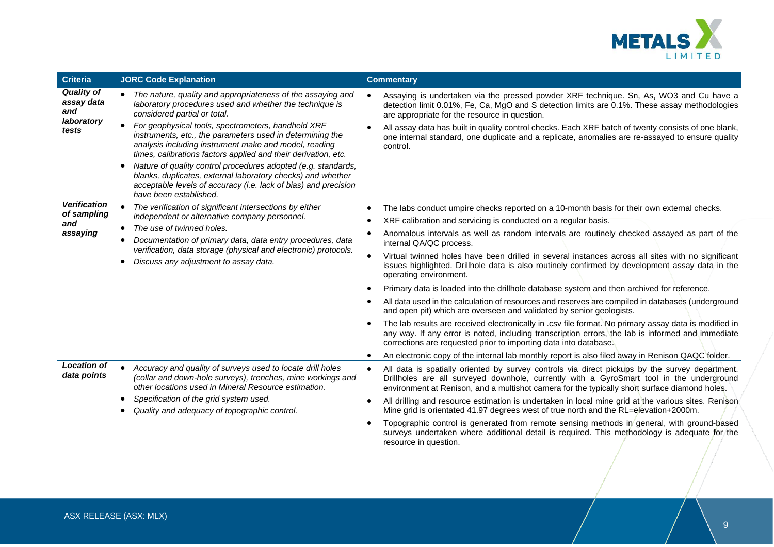

| <b>Criteria</b>                                                                                          | <b>JORC Code Explanation</b>                                                                                                                                                                                                                                                | <b>Commentary</b>                                                                                                                                                                                                                                                                                        |
|----------------------------------------------------------------------------------------------------------|-----------------------------------------------------------------------------------------------------------------------------------------------------------------------------------------------------------------------------------------------------------------------------|----------------------------------------------------------------------------------------------------------------------------------------------------------------------------------------------------------------------------------------------------------------------------------------------------------|
| <b>Quality of</b><br>assay data<br>and<br>laboratory                                                     | • The nature, quality and appropriateness of the assaying and<br>laboratory procedures used and whether the technique is<br>considered partial or total.                                                                                                                    | Assaying is undertaken via the pressed powder XRF technique. Sn, As, WO3 and Cu have a<br>detection limit 0.01%, Fe, Ca, MgO and S detection limits are 0.1%. These assay methodologies<br>are appropriate for the resource in question.                                                                 |
| tests                                                                                                    | For geophysical tools, spectrometers, handheld XRF<br>instruments, etc., the parameters used in determining the<br>analysis including instrument make and model, reading<br>times, calibrations factors applied and their derivation, etc.                                  | All assay data has built in quality control checks. Each XRF batch of twenty consists of one blank,<br>one internal standard, one duplicate and a replicate, anomalies are re-assayed to ensure quality<br>control.                                                                                      |
|                                                                                                          | Nature of quality control procedures adopted (e.g. standards,<br>$\bullet$<br>blanks, duplicates, external laboratory checks) and whether<br>acceptable levels of accuracy (i.e. lack of bias) and precision<br>have been established.                                      |                                                                                                                                                                                                                                                                                                          |
| <b>Verification</b><br>of sampling                                                                       | The verification of significant intersections by either                                                                                                                                                                                                                     | The labs conduct umpire checks reported on a 10-month basis for their own external checks.                                                                                                                                                                                                               |
| and                                                                                                      | independent or alternative company personnel.<br>The use of twinned holes.<br>$\bullet$                                                                                                                                                                                     | XRF calibration and servicing is conducted on a regular basis.                                                                                                                                                                                                                                           |
| assaying                                                                                                 | Documentation of primary data, data entry procedures, data                                                                                                                                                                                                                  | Anomalous intervals as well as random intervals are routinely checked assayed as part of the<br>internal QA/QC process.                                                                                                                                                                                  |
| verification, data storage (physical and electronic) protocols.<br>Discuss any adjustment to assay data. | Virtual twinned holes have been drilled in several instances across all sites with no significant<br>$\bullet$<br>issues highlighted. Drillhole data is also routinely confirmed by development assay data in the<br>operating environment.                                 |                                                                                                                                                                                                                                                                                                          |
|                                                                                                          |                                                                                                                                                                                                                                                                             | Primary data is loaded into the drillhole database system and then archived for reference.                                                                                                                                                                                                               |
|                                                                                                          |                                                                                                                                                                                                                                                                             | All data used in the calculation of resources and reserves are compiled in databases (underground<br>and open pit) which are overseen and validated by senior geologists.                                                                                                                                |
|                                                                                                          |                                                                                                                                                                                                                                                                             | The lab results are received electronically in .csv file format. No primary assay data is modified in<br>any way. If any error is noted, including transcription errors, the lab is informed and immediate<br>corrections are requested prior to importing data into database.                           |
|                                                                                                          |                                                                                                                                                                                                                                                                             | An electronic copy of the internal lab monthly report is also filed away in Renison QAQC folder.                                                                                                                                                                                                         |
| <b>Location of</b><br>data points                                                                        | Accuracy and quality of surveys used to locate drill holes<br>(collar and down-hole surveys), trenches, mine workings and<br>other locations used in Mineral Resource estimation.<br>Specification of the grid system used.<br>Quality and adequacy of topographic control. | All data is spatially oriented by survey controls via direct pickups by the survey department.<br>$\bullet$<br>Drillholes are all surveyed downhole, currently with a GyroSmart tool in the underground<br>environment at Renison, and a multishot camera for the typically short surface diamond holes. |
|                                                                                                          |                                                                                                                                                                                                                                                                             | All drilling and resource estimation is undertaken in local mine grid at the various sites. Renison<br>Mine grid is orientated 41.97 degrees west of true north and the RL=elevation+2000m.                                                                                                              |
|                                                                                                          |                                                                                                                                                                                                                                                                             | Topographic control is generated from remote sensing methods in general, with ground-based<br>surveys undertaken where additional detail is required. This methodology is adequate for the<br>resource in question.                                                                                      |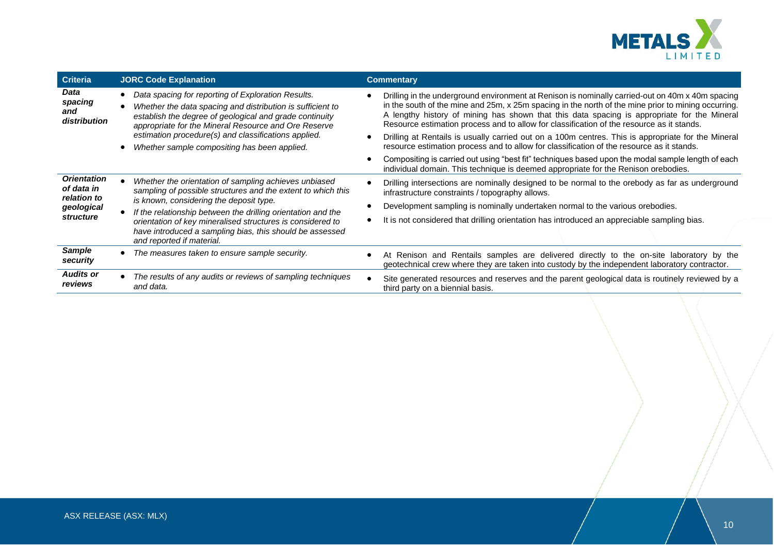

| <b>Criteria</b>                                                            | <b>JORC Code Explanation</b>                                                                                                                                                                                                        | <b>Commentary</b>                                                                                                                                                                                                                                                                                                                                                                                   |
|----------------------------------------------------------------------------|-------------------------------------------------------------------------------------------------------------------------------------------------------------------------------------------------------------------------------------|-----------------------------------------------------------------------------------------------------------------------------------------------------------------------------------------------------------------------------------------------------------------------------------------------------------------------------------------------------------------------------------------------------|
| Data<br>spacing<br>and<br>distribution                                     | Data spacing for reporting of Exploration Results.<br>Whether the data spacing and distribution is sufficient to<br>establish the degree of geological and grade continuity<br>appropriate for the Mineral Resource and Ore Reserve | Drilling in the underground environment at Renison is nominally carried-out on 40m x 40m spacing<br>in the south of the mine and 25m, x 25m spacing in the north of the mine prior to mining occurring.<br>A lengthy history of mining has shown that this data spacing is appropriate for the Mineral<br>Resource estimation process and to allow for classification of the resource as it stands. |
|                                                                            | estimation procedure(s) and classifications applied.<br>Whether sample compositing has been applied.                                                                                                                                | Drilling at Rentails is usually carried out on a 100m centres. This is appropriate for the Mineral<br>resource estimation process and to allow for classification of the resource as it stands.                                                                                                                                                                                                     |
|                                                                            |                                                                                                                                                                                                                                     | Compositing is carried out using "best fit" techniques based upon the modal sample length of each<br>individual domain. This technique is deemed appropriate for the Renison orebodies.                                                                                                                                                                                                             |
| <b>Orientation</b><br>of data in<br>relation to<br>geological<br>structure | Whether the orientation of sampling achieves unbiased<br>sampling of possible structures and the extent to which this<br>is known, considering the deposit type.                                                                    | Drilling intersections are nominally designed to be normal to the orebody as far as underground<br>infrastructure constraints / topography allows.                                                                                                                                                                                                                                                  |
|                                                                            | If the relationship between the drilling orientation and the                                                                                                                                                                        | Development sampling is nominally undertaken normal to the various orebodies.                                                                                                                                                                                                                                                                                                                       |
|                                                                            | orientation of key mineralised structures is considered to<br>have introduced a sampling bias, this should be assessed<br>and reported if material.                                                                                 | It is not considered that drilling orientation has introduced an appreciable sampling bias.                                                                                                                                                                                                                                                                                                         |
| Sample<br>security                                                         | The measures taken to ensure sample security.                                                                                                                                                                                       | At Renison and Rentails samples are delivered directly to the on-site laboratory by the<br>geotechnical crew where they are taken into custody by the independent laboratory contractor.                                                                                                                                                                                                            |
| <b>Audits or</b><br>reviews                                                | The results of any audits or reviews of sampling techniques<br>and data.                                                                                                                                                            | Site generated resources and reserves and the parent geological data is routinely reviewed by a<br>third party on a biennial basis.                                                                                                                                                                                                                                                                 |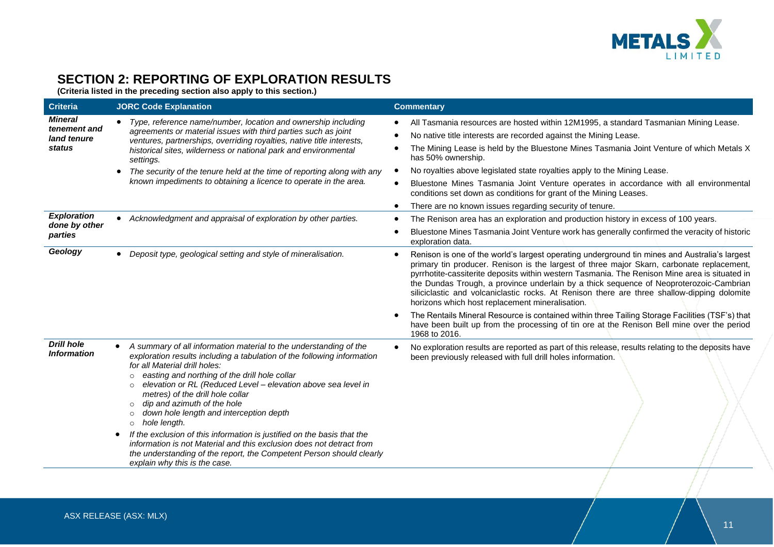

# **SECTION 2: REPORTING OF EXPLORATION RESULTS**

**(Criteria listed in the preceding section also apply to this section.)**

| <b>Criteria</b>                                         | <b>JORC Code Explanation</b>                                                                                                                                                                                                                                                                                                                                                                                                                                                                                                                                                                                                                                                                                                                                    | <b>Commentary</b>                                                                                                                                                                                                                                                                                                                                                                                                                                                                                                                       |
|---------------------------------------------------------|-----------------------------------------------------------------------------------------------------------------------------------------------------------------------------------------------------------------------------------------------------------------------------------------------------------------------------------------------------------------------------------------------------------------------------------------------------------------------------------------------------------------------------------------------------------------------------------------------------------------------------------------------------------------------------------------------------------------------------------------------------------------|-----------------------------------------------------------------------------------------------------------------------------------------------------------------------------------------------------------------------------------------------------------------------------------------------------------------------------------------------------------------------------------------------------------------------------------------------------------------------------------------------------------------------------------------|
| <b>Mineral</b><br>tenement and<br>land tenure<br>status | • Type, reference name/number, location and ownership including<br>agreements or material issues with third parties such as joint<br>ventures, partnerships, overriding royalties, native title interests,<br>historical sites, wilderness or national park and environmental<br>settings.<br>The security of the tenure held at the time of reporting along with any<br>$\bullet$<br>known impediments to obtaining a licence to operate in the area.                                                                                                                                                                                                                                                                                                          | All Tasmania resources are hosted within 12M1995, a standard Tasmanian Mining Lease.<br>$\bullet$<br>No native title interests are recorded against the Mining Lease.<br>The Mining Lease is held by the Bluestone Mines Tasmania Joint Venture of which Metals X<br>has 50% ownership.<br>No royalties above legislated state royalties apply to the Mining Lease.                                                                                                                                                                     |
|                                                         |                                                                                                                                                                                                                                                                                                                                                                                                                                                                                                                                                                                                                                                                                                                                                                 | Bluestone Mines Tasmania Joint Venture operates in accordance with all environmental<br>conditions set down as conditions for grant of the Mining Leases.<br>There are no known issues regarding security of tenure.                                                                                                                                                                                                                                                                                                                    |
| <b>Exploration</b><br>done by other<br>parties          | • Acknowledgment and appraisal of exploration by other parties.                                                                                                                                                                                                                                                                                                                                                                                                                                                                                                                                                                                                                                                                                                 | The Renison area has an exploration and production history in excess of 100 years.<br>Bluestone Mines Tasmania Joint Venture work has generally confirmed the veracity of historic<br>exploration data.                                                                                                                                                                                                                                                                                                                                 |
| Geology                                                 | Deposit type, geological setting and style of mineralisation.                                                                                                                                                                                                                                                                                                                                                                                                                                                                                                                                                                                                                                                                                                   | Renison is one of the world's largest operating underground tin mines and Australia's largest<br>primary tin producer. Renison is the largest of three major Skarn, carbonate replacement,<br>pyrrhotite-cassiterite deposits within western Tasmania. The Renison Mine area is situated in<br>the Dundas Trough, a province underlain by a thick sequence of Neoproterozoic-Cambrian<br>siliciclastic and volcaniclastic rocks. At Renison there are three shallow-dipping dolomite<br>horizons which host replacement mineralisation. |
|                                                         |                                                                                                                                                                                                                                                                                                                                                                                                                                                                                                                                                                                                                                                                                                                                                                 | The Rentails Mineral Resource is contained within three Tailing Storage Facilities (TSF's) that<br>have been built up from the processing of tin ore at the Renison Bell mine over the period<br>1968 to 2016.                                                                                                                                                                                                                                                                                                                          |
| <b>Drill hole</b><br><b>Information</b>                 | A summary of all information material to the understanding of the<br>$\bullet$<br>exploration results including a tabulation of the following information<br>for all Material drill holes:<br>easting and northing of the drill hole collar<br>$\circ$<br>elevation or RL (Reduced Level - elevation above sea level in<br>$\circ$<br>metres) of the drill hole collar<br>dip and azimuth of the hole<br>$\Omega$<br>down hole length and interception depth<br>$\Omega$<br>hole length.<br>$\circ$<br>If the exclusion of this information is justified on the basis that the<br>information is not Material and this exclusion does not detract from<br>the understanding of the report, the Competent Person should clearly<br>explain why this is the case. | No exploration results are reported as part of this release, results relating to the deposits have<br>been previously released with full drill holes information.                                                                                                                                                                                                                                                                                                                                                                       |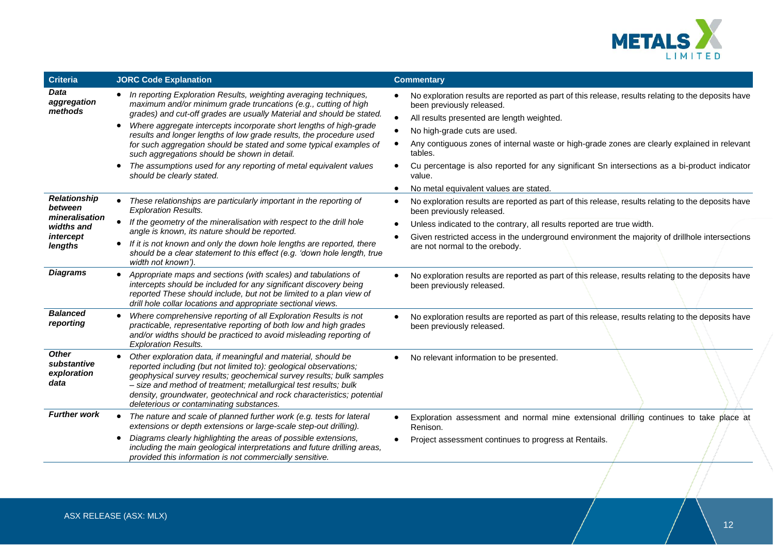

| <b>Criteria</b>                                    | <b>JORC Code Explanation</b>                                                                                                                                                                                                                                                                                                                                                                                                                                                                                                                                                       | <b>Commentary</b>                                                                                                                                                                                                                                                                                                                                                                                                                                |
|----------------------------------------------------|------------------------------------------------------------------------------------------------------------------------------------------------------------------------------------------------------------------------------------------------------------------------------------------------------------------------------------------------------------------------------------------------------------------------------------------------------------------------------------------------------------------------------------------------------------------------------------|--------------------------------------------------------------------------------------------------------------------------------------------------------------------------------------------------------------------------------------------------------------------------------------------------------------------------------------------------------------------------------------------------------------------------------------------------|
| Data<br>aggregation<br>methods                     | In reporting Exploration Results, weighting averaging techniques,<br>maximum and/or minimum grade truncations (e.g., cutting of high<br>grades) and cut-off grades are usually Material and should be stated.<br>Where aggregate intercepts incorporate short lengths of high-grade<br>results and longer lengths of low grade results, the procedure used<br>for such aggregation should be stated and some typical examples of<br>such aggregations should be shown in detail.<br>The assumptions used for any reporting of metal equivalent values<br>should be clearly stated. | No exploration results are reported as part of this release, results relating to the deposits have<br>been previously released.<br>$\bullet$<br>All results presented are length weighted.<br>No high-grade cuts are used.<br>Any contiguous zones of internal waste or high-grade zones are clearly explained in relevant<br>tables.<br>Cu percentage is also reported for any significant Sn intersections as a bi-product indicator<br>value. |
| <b>Relationship</b>                                |                                                                                                                                                                                                                                                                                                                                                                                                                                                                                                                                                                                    | No metal equivalent values are stated.                                                                                                                                                                                                                                                                                                                                                                                                           |
| between                                            | These relationships are particularly important in the reporting of<br><b>Exploration Results.</b>                                                                                                                                                                                                                                                                                                                                                                                                                                                                                  | No exploration results are reported as part of this release, results relating to the deposits have<br>$\bullet$<br>been previously released.                                                                                                                                                                                                                                                                                                     |
| mineralisation<br>widths and                       | If the geometry of the mineralisation with respect to the drill hole<br>angle is known, its nature should be reported.                                                                                                                                                                                                                                                                                                                                                                                                                                                             | Unless indicated to the contrary, all results reported are true width.                                                                                                                                                                                                                                                                                                                                                                           |
| intercept                                          |                                                                                                                                                                                                                                                                                                                                                                                                                                                                                                                                                                                    | Given restricted access in the underground environment the majority of drillhole intersections                                                                                                                                                                                                                                                                                                                                                   |
| lengths                                            | If it is not known and only the down hole lengths are reported, there<br>should be a clear statement to this effect (e.g. 'down hole length, true<br>width not known').                                                                                                                                                                                                                                                                                                                                                                                                            | are not normal to the orebody.                                                                                                                                                                                                                                                                                                                                                                                                                   |
| <b>Diagrams</b>                                    | • Appropriate maps and sections (with scales) and tabulations of<br>intercepts should be included for any significant discovery being<br>reported These should include, but not be limited to a plan view of<br>drill hole collar locations and appropriate sectional views.                                                                                                                                                                                                                                                                                                       | No exploration results are reported as part of this release, results relating to the deposits have<br>been previously released.                                                                                                                                                                                                                                                                                                                  |
| <b>Balanced</b><br>reporting                       | Where comprehensive reporting of all Exploration Results is not<br>practicable, representative reporting of both low and high grades<br>and/or widths should be practiced to avoid misleading reporting of<br><b>Exploration Results.</b>                                                                                                                                                                                                                                                                                                                                          | No exploration results are reported as part of this release, results relating to the deposits have<br>been previously released.                                                                                                                                                                                                                                                                                                                  |
| <b>Other</b><br>substantive<br>exploration<br>data | Other exploration data, if meaningful and material, should be<br>reported including (but not limited to): geological observations;<br>geophysical survey results; geochemical survey results; bulk samples<br>- size and method of treatment; metallurgical test results; bulk<br>density, groundwater, geotechnical and rock characteristics; potential<br>deleterious or contaminating substances.                                                                                                                                                                               | No relevant information to be presented.                                                                                                                                                                                                                                                                                                                                                                                                         |
| <b>Further work</b>                                | The nature and scale of planned further work (e.g. tests for lateral<br>extensions or depth extensions or large-scale step-out drilling).                                                                                                                                                                                                                                                                                                                                                                                                                                          | Exploration assessment and normal mine extensional drilling continues to take place at<br>Renison.                                                                                                                                                                                                                                                                                                                                               |
|                                                    | Diagrams clearly highlighting the areas of possible extensions,<br>including the main geological interpretations and future drilling areas,<br>provided this information is not commercially sensitive.                                                                                                                                                                                                                                                                                                                                                                            | Project assessment continues to progress at Rentails.                                                                                                                                                                                                                                                                                                                                                                                            |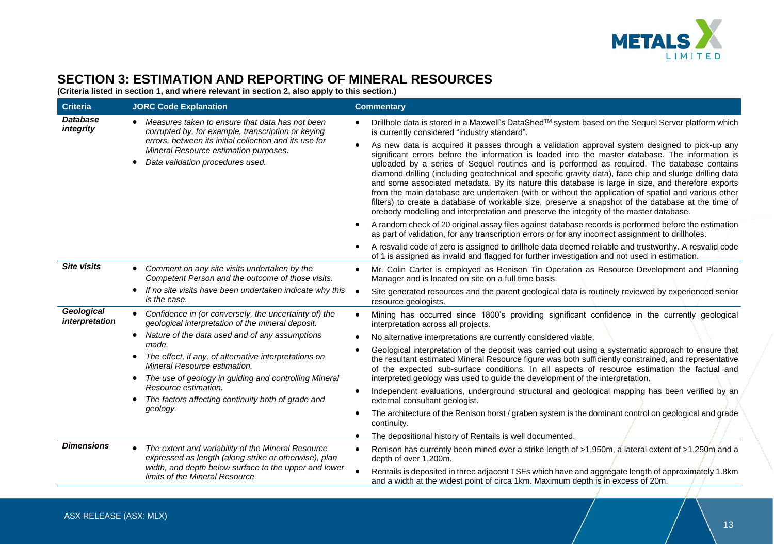

# **SECTION 3: ESTIMATION AND REPORTING OF MINERAL RESOURCES**

**(Criteria listed in section 1, and where relevant in section 2, also apply to this section.)**

| <b>Criteria</b>                                                                                                                                         | <b>JORC Code Explanation</b>                                                                                                                                                                                                                                                                                                                                                                  | <b>Commentary</b>                                                                                                                                                                                                                                                                                                                                                                                                                                                                                                                                                                                                                                                                                                                                                                                                         |
|---------------------------------------------------------------------------------------------------------------------------------------------------------|-----------------------------------------------------------------------------------------------------------------------------------------------------------------------------------------------------------------------------------------------------------------------------------------------------------------------------------------------------------------------------------------------|---------------------------------------------------------------------------------------------------------------------------------------------------------------------------------------------------------------------------------------------------------------------------------------------------------------------------------------------------------------------------------------------------------------------------------------------------------------------------------------------------------------------------------------------------------------------------------------------------------------------------------------------------------------------------------------------------------------------------------------------------------------------------------------------------------------------------|
| <b>Database</b><br>integrity                                                                                                                            | Measures taken to ensure that data has not been<br>corrupted by, for example, transcription or keying                                                                                                                                                                                                                                                                                         | Drillhole data is stored in a Maxwell's DataShed™ system based on the Sequel Server platform which<br>is currently considered "industry standard".                                                                                                                                                                                                                                                                                                                                                                                                                                                                                                                                                                                                                                                                        |
| Mineral Resource estimation purposes.<br>Data validation procedures used.                                                                               | errors, between its initial collection and its use for                                                                                                                                                                                                                                                                                                                                        | As new data is acquired it passes through a validation approval system designed to pick-up any<br>significant errors before the information is loaded into the master database. The information is<br>uploaded by a series of Sequel routines and is performed as required. The database contains<br>diamond drilling (including geotechnical and specific gravity data), face chip and sludge drilling data<br>and some associated metadata. By its nature this database is large in size, and therefore exports<br>from the main database are undertaken (with or without the application of spatial and various other<br>filters) to create a database of workable size, preserve a snapshot of the database at the time of<br>orebody modelling and interpretation and preserve the integrity of the master database. |
|                                                                                                                                                         |                                                                                                                                                                                                                                                                                                                                                                                               | A random check of 20 original assay files against database records is performed before the estimation<br>as part of validation, for any transcription errors or for any incorrect assignment to drillholes.                                                                                                                                                                                                                                                                                                                                                                                                                                                                                                                                                                                                               |
|                                                                                                                                                         |                                                                                                                                                                                                                                                                                                                                                                                               | A resvalid code of zero is assigned to drillhole data deemed reliable and trustworthy. A resvalid code<br>٠<br>of 1 is assigned as invalid and flagged for further investigation and not used in estimation.                                                                                                                                                                                                                                                                                                                                                                                                                                                                                                                                                                                                              |
| <b>Site visits</b>                                                                                                                                      | Comment on any site visits undertaken by the<br>Competent Person and the outcome of those visits.                                                                                                                                                                                                                                                                                             | Mr. Colin Carter is employed as Renison Tin Operation as Resource Development and Planning<br>Manager and is located on site on a full time basis.                                                                                                                                                                                                                                                                                                                                                                                                                                                                                                                                                                                                                                                                        |
| is the case.                                                                                                                                            | If no site visits have been undertaken indicate why this                                                                                                                                                                                                                                                                                                                                      | Site generated resources and the parent geological data is routinely reviewed by experienced senior<br>resource geologists.                                                                                                                                                                                                                                                                                                                                                                                                                                                                                                                                                                                                                                                                                               |
| Geological<br>interpretation                                                                                                                            | Confidence in (or conversely, the uncertainty of) the<br>geological interpretation of the mineral deposit.                                                                                                                                                                                                                                                                                    | Mining has occurred since 1800's providing significant confidence in the currently geological<br>interpretation across all projects.                                                                                                                                                                                                                                                                                                                                                                                                                                                                                                                                                                                                                                                                                      |
|                                                                                                                                                         | Nature of the data used and of any assumptions<br>$\bullet$                                                                                                                                                                                                                                                                                                                                   | No alternative interpretations are currently considered viable.                                                                                                                                                                                                                                                                                                                                                                                                                                                                                                                                                                                                                                                                                                                                                           |
| made.<br>The effect, if any, of alternative interpretations on<br>Mineral Resource estimation.<br>The use of geology in guiding and controlling Mineral | Geological interpretation of the deposit was carried out using a systematic approach to ensure that<br>the resultant estimated Mineral Resource figure was both sufficiently constrained, and representative<br>of the expected sub-surface conditions. In all aspects of resource estimation the factual and<br>interpreted geology was used to guide the development of the interpretation. |                                                                                                                                                                                                                                                                                                                                                                                                                                                                                                                                                                                                                                                                                                                                                                                                                           |
|                                                                                                                                                         | Resource estimation.<br>The factors affecting continuity both of grade and<br>geology.                                                                                                                                                                                                                                                                                                        | Independent evaluations, underground structural and geological mapping has been verified by an<br>external consultant geologist.                                                                                                                                                                                                                                                                                                                                                                                                                                                                                                                                                                                                                                                                                          |
|                                                                                                                                                         |                                                                                                                                                                                                                                                                                                                                                                                               | The architecture of the Renison horst / graben system is the dominant control on geological and grade<br>continuity.                                                                                                                                                                                                                                                                                                                                                                                                                                                                                                                                                                                                                                                                                                      |
|                                                                                                                                                         |                                                                                                                                                                                                                                                                                                                                                                                               | The depositional history of Rentails is well documented.                                                                                                                                                                                                                                                                                                                                                                                                                                                                                                                                                                                                                                                                                                                                                                  |
| <b>Dimensions</b>                                                                                                                                       | The extent and variability of the Mineral Resource<br>expressed as length (along strike or otherwise), plan                                                                                                                                                                                                                                                                                   | Renison has currently been mined over a strike length of >1,950m, a lateral extent of >1,250m and a<br>$\bullet$<br>depth of over 1,200m.                                                                                                                                                                                                                                                                                                                                                                                                                                                                                                                                                                                                                                                                                 |
|                                                                                                                                                         | width, and depth below surface to the upper and lower<br>limits of the Mineral Resource.                                                                                                                                                                                                                                                                                                      | Rentails is deposited in three adjacent TSFs which have and aggregate length of approximately 1.8km<br>and a width at the widest point of circa 1km. Maximum depth is in excess of 20m.                                                                                                                                                                                                                                                                                                                                                                                                                                                                                                                                                                                                                                   |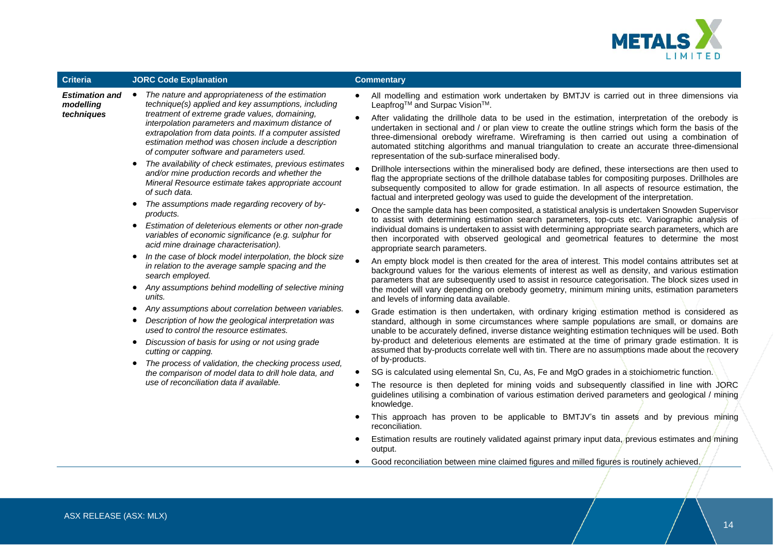

| <b>Criteria</b>                                                                                                                                                                                                                 | <b>JORC Code Explanation</b>                                                                                                                                                                                                                                                                                                                  | <b>Commentary</b>                                                                                                                                                                                                                                                                                                                                                                                                                                                   |
|---------------------------------------------------------------------------------------------------------------------------------------------------------------------------------------------------------------------------------|-----------------------------------------------------------------------------------------------------------------------------------------------------------------------------------------------------------------------------------------------------------------------------------------------------------------------------------------------|---------------------------------------------------------------------------------------------------------------------------------------------------------------------------------------------------------------------------------------------------------------------------------------------------------------------------------------------------------------------------------------------------------------------------------------------------------------------|
| <b>Estimation and</b><br>modelling                                                                                                                                                                                              | The nature and appropriateness of the estimation<br>technique(s) applied and key assumptions, including                                                                                                                                                                                                                                       | All modelling and estimation work undertaken by BMTJV is carried out in three dimensions via<br>Leapfrog <sup>™</sup> and Surpac Vision <sup>™</sup> .                                                                                                                                                                                                                                                                                                              |
| treatment of extreme grade values, domaining,<br>techniques<br>interpolation parameters and maximum distance of<br>of computer software and parameters used.<br>and/or mine production records and whether the<br>of such data. | extrapolation from data points. If a computer assisted<br>estimation method was chosen include a description                                                                                                                                                                                                                                  | After validating the drillhole data to be used in the estimation, interpretation of the orebody is<br>undertaken in sectional and / or plan view to create the outline strings which form the basis of the<br>three-dimensional orebody wireframe. Wireframing is then carried out using a combination of<br>automated stitching algorithms and manual triangulation to create an accurate three-dimensional<br>representation of the sub-surface mineralised body. |
|                                                                                                                                                                                                                                 | The availability of check estimates, previous estimates<br>Mineral Resource estimate takes appropriate account                                                                                                                                                                                                                                | Drillhole intersections within the mineralised body are defined, these intersections are then used to<br>flag the appropriate sections of the drillhole database tables for compositing purposes. Drillholes are<br>subsequently composited to allow for grade estimation. In all aspects of resource estimation, the<br>factual and interpreted geology was used to guide the development of the interpretation.                                                   |
|                                                                                                                                                                                                                                 | The assumptions made regarding recovery of by-<br>products.                                                                                                                                                                                                                                                                                   | Once the sample data has been composited, a statistical analysis is undertaken Snowden Supervisor                                                                                                                                                                                                                                                                                                                                                                   |
| Estimation of deleterious elements or other non-grade<br>variables of economic significance (e.g. sulphur for<br>acid mine drainage characterisation).                                                                          | to assist with determining estimation search parameters, top-cuts etc. Variographic analysis of<br>individual domains is undertaken to assist with determining appropriate search parameters, which are<br>then incorporated with observed geological and geometrical features to determine the most<br>appropriate search parameters.        |                                                                                                                                                                                                                                                                                                                                                                                                                                                                     |
|                                                                                                                                                                                                                                 | In the case of block model interpolation, the block size<br>in relation to the average sample spacing and the<br>search employed.<br>Any assumptions behind modelling of selective mining<br>units.<br>Any assumptions about correlation between variables.<br>$\bullet$<br>Description of how the geological interpretation was<br>$\bullet$ | An empty block model is then created for the area of interest. This model contains attributes set at<br>background values for the various elements of interest as well as density, and various estimation<br>parameters that are subsequently used to assist in resource categorisation. The block sizes used in                                                                                                                                                    |
|                                                                                                                                                                                                                                 |                                                                                                                                                                                                                                                                                                                                               | the model will vary depending on orebody geometry, minimum mining units, estimation parameters<br>and levels of informing data available.                                                                                                                                                                                                                                                                                                                           |
|                                                                                                                                                                                                                                 |                                                                                                                                                                                                                                                                                                                                               | Grade estimation is then undertaken, with ordinary kriging estimation method is considered as<br>standard, although in some circumstances where sample populations are small, or domains are                                                                                                                                                                                                                                                                        |
|                                                                                                                                                                                                                                 | used to control the resource estimates.                                                                                                                                                                                                                                                                                                       | unable to be accurately defined, inverse distance weighting estimation techniques will be used. Both                                                                                                                                                                                                                                                                                                                                                                |
|                                                                                                                                                                                                                                 | Discussion of basis for using or not using grade<br>cutting or capping.                                                                                                                                                                                                                                                                       | by-product and deleterious elements are estimated at the time of primary grade estimation. It is<br>assumed that by-products correlate well with tin. There are no assumptions made about the recovery<br>of by-products.                                                                                                                                                                                                                                           |
|                                                                                                                                                                                                                                 | The process of validation, the checking process used,<br>the comparison of model data to drill hole data, and                                                                                                                                                                                                                                 | SG is calculated using elemental Sn, Cu, As, Fe and MgO grades in a stoichiometric function.                                                                                                                                                                                                                                                                                                                                                                        |
|                                                                                                                                                                                                                                 | use of reconciliation data if available.                                                                                                                                                                                                                                                                                                      | The resource is then depleted for mining voids and subsequently classified in line with JORC<br>guidelines utilising a combination of various estimation derived parameters and geological / mining<br>knowledge.                                                                                                                                                                                                                                                   |
|                                                                                                                                                                                                                                 |                                                                                                                                                                                                                                                                                                                                               | This approach has proven to be applicable to BMTJV's tin assets and by previous mining<br>reconciliation.                                                                                                                                                                                                                                                                                                                                                           |
|                                                                                                                                                                                                                                 |                                                                                                                                                                                                                                                                                                                                               | Estimation results are routinely validated against primary input data, previous estimates and mining<br>output.                                                                                                                                                                                                                                                                                                                                                     |
|                                                                                                                                                                                                                                 |                                                                                                                                                                                                                                                                                                                                               | Good reconciliation between mine claimed figures and milled figures is routinely achieved.                                                                                                                                                                                                                                                                                                                                                                          |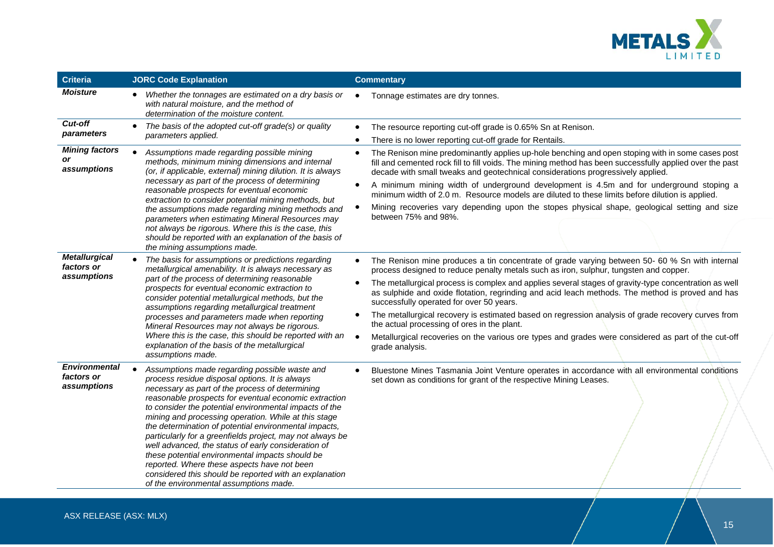

| <b>Criteria</b>                                   | <b>JORC Code Explanation</b>                                                                                                                                                                                                                                                                                                                                                                                                                                                                                                                                                                                                                                                                                     | <b>Commentary</b>                                                                                                                                                                                                                                                                                                                                                                                                                                                                                                                                                                                                                                                                                                                                                |
|---------------------------------------------------|------------------------------------------------------------------------------------------------------------------------------------------------------------------------------------------------------------------------------------------------------------------------------------------------------------------------------------------------------------------------------------------------------------------------------------------------------------------------------------------------------------------------------------------------------------------------------------------------------------------------------------------------------------------------------------------------------------------|------------------------------------------------------------------------------------------------------------------------------------------------------------------------------------------------------------------------------------------------------------------------------------------------------------------------------------------------------------------------------------------------------------------------------------------------------------------------------------------------------------------------------------------------------------------------------------------------------------------------------------------------------------------------------------------------------------------------------------------------------------------|
| <b>Moisture</b>                                   | Whether the tonnages are estimated on a dry basis or<br>with natural moisture, and the method of<br>determination of the moisture content.                                                                                                                                                                                                                                                                                                                                                                                                                                                                                                                                                                       | Tonnage estimates are dry tonnes.<br>$\bullet$                                                                                                                                                                                                                                                                                                                                                                                                                                                                                                                                                                                                                                                                                                                   |
| <b>Cut-off</b><br>parameters                      | The basis of the adopted cut-off grade(s) or quality<br>parameters applied.                                                                                                                                                                                                                                                                                                                                                                                                                                                                                                                                                                                                                                      | The resource reporting cut-off grade is 0.65% Sn at Renison.<br>$\bullet$<br>There is no lower reporting cut-off grade for Rentails.<br>$\bullet$                                                                                                                                                                                                                                                                                                                                                                                                                                                                                                                                                                                                                |
| <b>Mining factors</b><br>or<br>assumptions        | Assumptions made regarding possible mining<br>methods, minimum mining dimensions and internal<br>(or, if applicable, external) mining dilution. It is always                                                                                                                                                                                                                                                                                                                                                                                                                                                                                                                                                     | The Renison mine predominantly applies up-hole benching and open stoping with in some cases post<br>$\bullet$<br>fill and cemented rock fill to fill voids. The mining method has been successfully applied over the past<br>decade with small tweaks and geotechnical considerations progressively applied.                                                                                                                                                                                                                                                                                                                                                                                                                                                     |
|                                                   | necessary as part of the process of determining<br>reasonable prospects for eventual economic<br>extraction to consider potential mining methods, but                                                                                                                                                                                                                                                                                                                                                                                                                                                                                                                                                            | A minimum mining width of underground development is 4.5m and for underground stoping a<br>$\bullet$<br>minimum width of 2.0 m. Resource models are diluted to these limits before dilution is applied.                                                                                                                                                                                                                                                                                                                                                                                                                                                                                                                                                          |
|                                                   | the assumptions made regarding mining methods and<br>parameters when estimating Mineral Resources may<br>not always be rigorous. Where this is the case, this<br>should be reported with an explanation of the basis of<br>the mining assumptions made.                                                                                                                                                                                                                                                                                                                                                                                                                                                          | Mining recoveries vary depending upon the stopes physical shape, geological setting and size<br>between 75% and 98%.                                                                                                                                                                                                                                                                                                                                                                                                                                                                                                                                                                                                                                             |
| <b>Metallurgical</b><br>factors or<br>assumptions | The basis for assumptions or predictions regarding<br>metallurgical amenability. It is always necessary as<br>part of the process of determining reasonable<br>prospects for eventual economic extraction to<br>consider potential metallurgical methods, but the<br>assumptions regarding metallurgical treatment<br>processes and parameters made when reporting<br>Mineral Resources may not always be rigorous.<br>Where this is the case, this should be reported with an                                                                                                                                                                                                                                   | The Renison mine produces a tin concentrate of grade varying between 50- 60 % Sn with internal<br>$\bullet$<br>process designed to reduce penalty metals such as iron, sulphur, tungsten and copper.<br>The metallurgical process is complex and applies several stages of gravity-type concentration as well<br>$\bullet$<br>as sulphide and oxide flotation, regrinding and acid leach methods. The method is proved and has<br>successfully operated for over 50 years.<br>The metallurgical recovery is estimated based on regression analysis of grade recovery curves from<br>$\bullet$<br>the actual processing of ores in the plant.<br>$\bullet$<br>Metallurgical recoveries on the various ore types and grades were considered as part of the cut-off |
|                                                   | explanation of the basis of the metallurgical<br>assumptions made.                                                                                                                                                                                                                                                                                                                                                                                                                                                                                                                                                                                                                                               | grade analysis.                                                                                                                                                                                                                                                                                                                                                                                                                                                                                                                                                                                                                                                                                                                                                  |
| <b>Environmental</b><br>factors or<br>assumptions | Assumptions made regarding possible waste and<br>process residue disposal options. It is always<br>necessary as part of the process of determining<br>reasonable prospects for eventual economic extraction<br>to consider the potential environmental impacts of the<br>mining and processing operation. While at this stage<br>the determination of potential environmental impacts,<br>particularly for a greenfields project, may not always be<br>well advanced, the status of early consideration of<br>these potential environmental impacts should be<br>reported. Where these aspects have not been<br>considered this should be reported with an explanation<br>of the environmental assumptions made. | Bluestone Mines Tasmania Joint Venture operates in accordance with all environmental conditions<br>$\bullet$<br>set down as conditions for grant of the respective Mining Leases.                                                                                                                                                                                                                                                                                                                                                                                                                                                                                                                                                                                |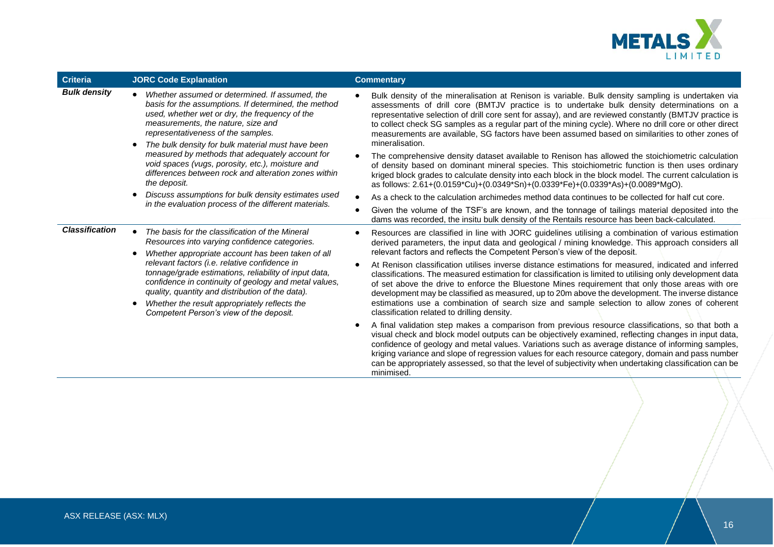

| <b>Criteria</b>       | <b>JORC Code Explanation</b>                                                                                                                                                                                                                                                                                                                                                                                                                                             |           | <b>Commentary</b>                                                                                                                                                                                                                                                                                                                                                                                                                                                                                                                                                        |
|-----------------------|--------------------------------------------------------------------------------------------------------------------------------------------------------------------------------------------------------------------------------------------------------------------------------------------------------------------------------------------------------------------------------------------------------------------------------------------------------------------------|-----------|--------------------------------------------------------------------------------------------------------------------------------------------------------------------------------------------------------------------------------------------------------------------------------------------------------------------------------------------------------------------------------------------------------------------------------------------------------------------------------------------------------------------------------------------------------------------------|
| <b>Bulk density</b>   | Whether assumed or determined. If assumed, the<br>basis for the assumptions. If determined, the method<br>used, whether wet or dry, the frequency of the<br>measurements, the nature, size and<br>representativeness of the samples.<br>The bulk density for bulk material must have been<br>measured by methods that adequately account for<br>void spaces (vugs, porosity, etc.), moisture and<br>differences between rock and alteration zones within<br>the deposit. |           | Bulk density of the mineralisation at Renison is variable. Bulk density sampling is undertaken via<br>assessments of drill core (BMTJV practice is to undertake bulk density determinations on a<br>representative selection of drill core sent for assay), and are reviewed constantly (BMTJV practice is<br>to collect check SG samples as a regular part of the mining cycle). Where no drill core or other direct<br>measurements are available, SG factors have been assumed based on similarities to other zones of<br>mineralisation.                             |
|                       |                                                                                                                                                                                                                                                                                                                                                                                                                                                                          |           | The comprehensive density dataset available to Renison has allowed the stoichiometric calculation<br>of density based on dominant mineral species. This stoichiometric function is then uses ordinary<br>kriged block grades to calculate density into each block in the block model. The current calculation is<br>as follows: 2.61+(0.0159*Cu)+(0.0349*Sn)+(0.0339*Fe)+(0.0339*As)+(0.0089*MgO).                                                                                                                                                                       |
|                       | Discuss assumptions for bulk density estimates used<br>in the evaluation process of the different materials.                                                                                                                                                                                                                                                                                                                                                             | $\bullet$ | As a check to the calculation archimedes method data continues to be collected for half cut core.                                                                                                                                                                                                                                                                                                                                                                                                                                                                        |
|                       |                                                                                                                                                                                                                                                                                                                                                                                                                                                                          | $\bullet$ | Given the volume of the TSF's are known, and the tonnage of tailings material deposited into the<br>dams was recorded, the insitu bulk density of the Rentails resource has been back-calculated.                                                                                                                                                                                                                                                                                                                                                                        |
| <b>Classification</b> | The basis for the classification of the Mineral<br>Resources into varying confidence categories.<br>Whether appropriate account has been taken of all<br>relevant factors (i.e. relative confidence in<br>tonnage/grade estimations, reliability of input data,<br>confidence in continuity of geology and metal values,<br>quality, quantity and distribution of the data).<br>Whether the result appropriately reflects the<br>Competent Person's view of the deposit. |           | Resources are classified in line with JORC guidelines utilising a combination of various estimation<br>derived parameters, the input data and geological / mining knowledge. This approach considers all<br>relevant factors and reflects the Competent Person's view of the deposit.                                                                                                                                                                                                                                                                                    |
|                       |                                                                                                                                                                                                                                                                                                                                                                                                                                                                          |           | At Renison classification utilises inverse distance estimations for measured, indicated and inferred<br>classifications. The measured estimation for classification is limited to utilising only development data<br>of set above the drive to enforce the Bluestone Mines requirement that only those areas with ore<br>development may be classified as measured, up to 20m above the development. The inverse distance<br>estimations use a combination of search size and sample selection to allow zones of coherent<br>classification related to drilling density. |
|                       |                                                                                                                                                                                                                                                                                                                                                                                                                                                                          |           | A final validation step makes a comparison from previous resource classifications, so that both a<br>visual check and block model outputs can be objectively examined, reflecting changes in input data,<br>confidence of geology and metal values. Variations such as average distance of informing samples,<br>kriging variance and slope of regression values for each resource category, domain and pass number<br>can be appropriately assessed, so that the level of subjectivity when undertaking classification can be<br>minimised.                             |